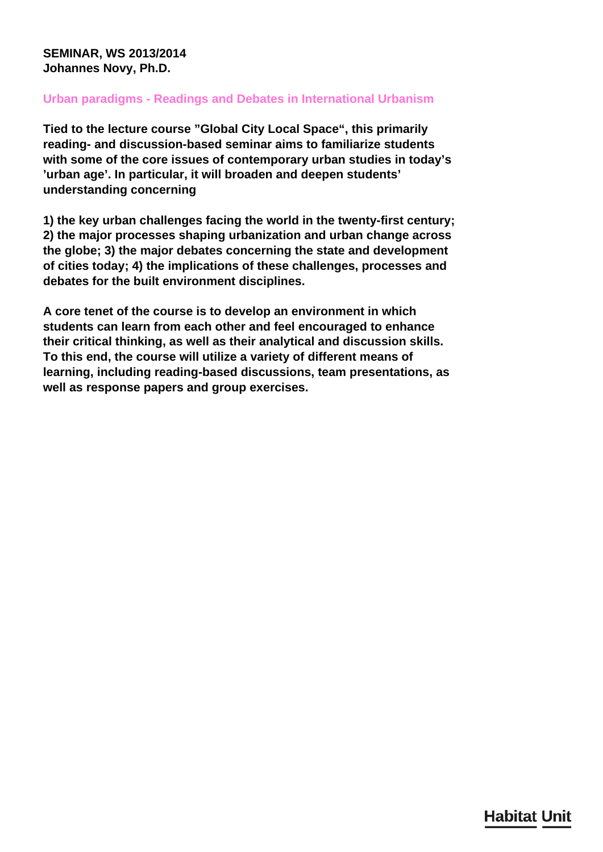## **SEMINAR, WS 2013/2014 Johannes Novy, Ph.D.**

## **Urban paradigms - Readings and Debates in International Urbanism**

**Tied to the lecture course "Global City Local Space", this primarily reading- and discussion-based seminar aims to familiarize students with some of the core issues of contemporary urban studies in today's 'urban age'. In particular, it will broaden and deepen students' understanding concerning**

**1) the key urban challenges facing the world in the twenty-first century; 2) the major processes shaping urbanization and urban change across the globe; 3) the major debates concerning the state and development of cities today; 4) the implications of these challenges, processes and debates for the built environment disciplines.**

**A core tenet of the course is to develop an environment in which students can learn from each other and feel encouraged to enhance their critical thinking, as well as their analytical and discussion skills. To this end, the course will utilize a variety of different means of learning, including reading-based discussions, team presentations, as well as response papers and group exercises.**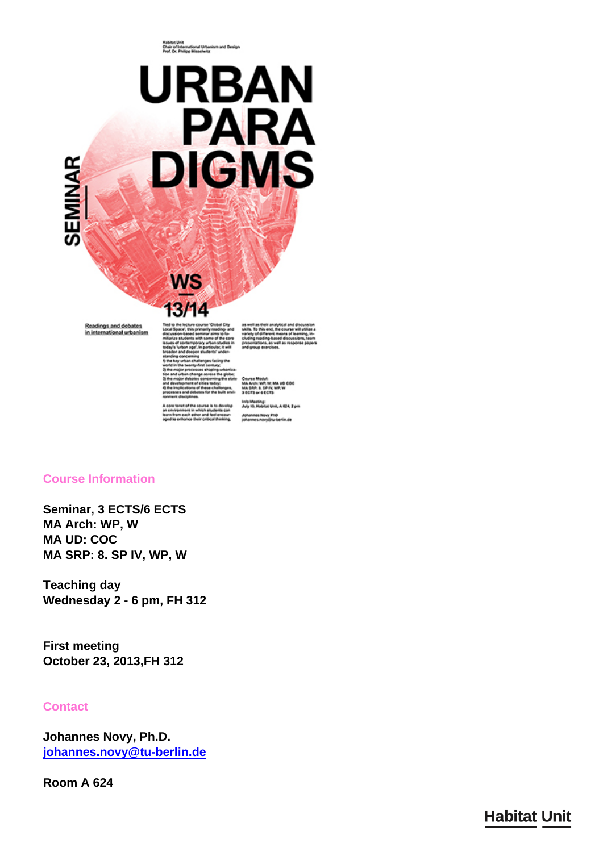ruseten uma<br>Chair of International Urbanism and Design<br>Prof. Dr. Philipp Misselwitz



#### **Course Information**

**Seminar, 3 ECTS/6 ECTS MA Arch: WP, W MA UD: COC MA SRP: 8. SP IV, WP, W**

**Teaching day Wednesday 2 - 6 pm, FH 312**

**First meeting October 23, 2013,FH 312**

### **Contact**

**Johannes Novy, Ph.D. [johannes.novy@tu-berlin.de](mailto:johannes.novy@tu-berlin.de)**

**Room A 624**

# **Habitat Unit**